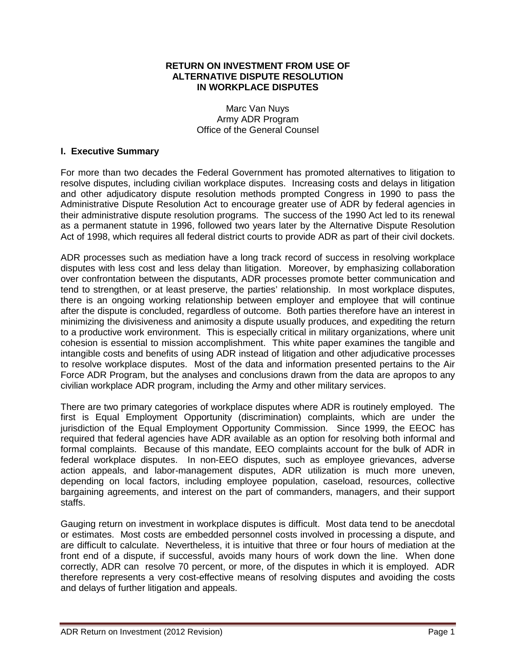### **RETURN ON INVESTMENT FROM USE OF ALTERNATIVE DISPUTE RESOLUTION IN WORKPLACE DISPUTES**

Marc Van Nuys Army ADR Program Office of the General Counsel

### **I. Executive Summary**

For more than two decades the Federal Government has promoted alternatives to litigation to resolve disputes, including civilian workplace disputes. Increasing costs and delays in litigation and other adjudicatory dispute resolution methods prompted Congress in 1990 to pass the Administrative Dispute Resolution Act to encourage greater use of ADR by federal agencies in their administrative dispute resolution programs. The success of the 1990 Act led to its renewal as a permanent statute in 1996, followed two years later by the Alternative Dispute Resolution Act of 1998, which requires all federal district courts to provide ADR as part of their civil dockets.

ADR processes such as mediation have a long track record of success in resolving workplace disputes with less cost and less delay than litigation. Moreover, by emphasizing collaboration over confrontation between the disputants, ADR processes promote better communication and tend to strengthen, or at least preserve, the parties' relationship. In most workplace disputes, there is an ongoing working relationship between employer and employee that will continue after the dispute is concluded, regardless of outcome. Both parties therefore have an interest in minimizing the divisiveness and animosity a dispute usually produces, and expediting the return to a productive work environment. This is especially critical in military organizations, where unit cohesion is essential to mission accomplishment. This white paper examines the tangible and intangible costs and benefits of using ADR instead of litigation and other adjudicative processes to resolve workplace disputes. Most of the data and information presented pertains to the Air Force ADR Program, but the analyses and conclusions drawn from the data are apropos to any civilian workplace ADR program, including the Army and other military services.

There are two primary categories of workplace disputes where ADR is routinely employed. The first is Equal Employment Opportunity (discrimination) complaints, which are under the jurisdiction of the Equal Employment Opportunity Commission. Since 1999, the EEOC has required that federal agencies have ADR available as an option for resolving both informal and formal complaints. Because of this mandate, EEO complaints account for the bulk of ADR in federal workplace disputes. In non-EEO disputes, such as employee grievances, adverse action appeals, and labor-management disputes, ADR utilization is much more uneven, depending on local factors, including employee population, caseload, resources, collective bargaining agreements, and interest on the part of commanders, managers, and their support staffs.

Gauging return on investment in workplace disputes is difficult. Most data tend to be anecdotal or estimates. Most costs are embedded personnel costs involved in processing a dispute, and are difficult to calculate. Nevertheless, it is intuitive that three or four hours of mediation at the front end of a dispute, if successful, avoids many hours of work down the line. When done correctly, ADR can resolve 70 percent, or more, of the disputes in which it is employed. ADR therefore represents a very cost-effective means of resolving disputes and avoiding the costs and delays of further litigation and appeals.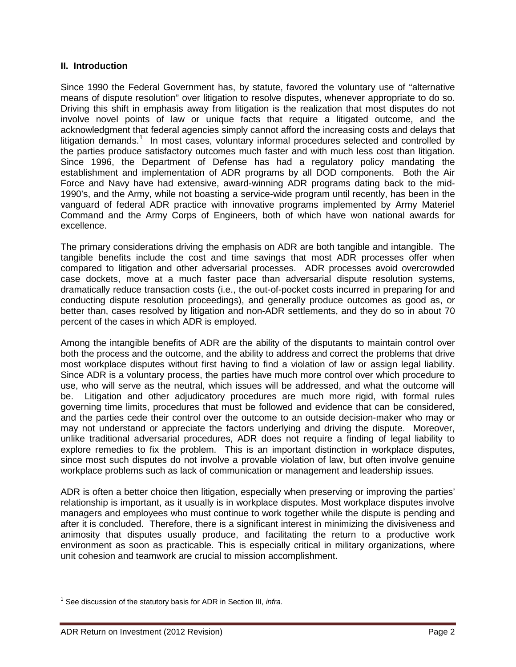### **II. Introduction**

Since 1990 the Federal Government has, by statute, favored the voluntary use of "alternative means of dispute resolution" over litigation to resolve disputes, whenever appropriate to do so. Driving this shift in emphasis away from litigation is the realization that most disputes do not involve novel points of law or unique facts that require a litigated outcome, and the acknowledgment that federal agencies simply cannot afford the increasing costs and delays that litigation demands.<sup>[1](#page-1-0)</sup> In most cases, voluntary informal procedures selected and controlled by the parties produce satisfactory outcomes much faster and with much less cost than litigation. Since 1996, the Department of Defense has had a regulatory policy mandating the establishment and implementation of ADR programs by all DOD components. Both the Air Force and Navy have had extensive, award-winning ADR programs dating back to the mid-1990's, and the Army, while not boasting a service-wide program until recently, has been in the vanguard of federal ADR practice with innovative programs implemented by Army Materiel Command and the Army Corps of Engineers, both of which have won national awards for excellence.

The primary considerations driving the emphasis on ADR are both tangible and intangible. The tangible benefits include the cost and time savings that most ADR processes offer when compared to litigation and other adversarial processes. ADR processes avoid overcrowded case dockets, move at a much faster pace than adversarial dispute resolution systems, dramatically reduce transaction costs (i.e., the out-of-pocket costs incurred in preparing for and conducting dispute resolution proceedings), and generally produce outcomes as good as, or better than, cases resolved by litigation and non-ADR settlements, and they do so in about 70 percent of the cases in which ADR is employed.

Among the intangible benefits of ADR are the ability of the disputants to maintain control over both the process and the outcome, and the ability to address and correct the problems that drive most workplace disputes without first having to find a violation of law or assign legal liability. Since ADR is a voluntary process, the parties have much more control over which procedure to use, who will serve as the neutral, which issues will be addressed, and what the outcome will be. Litigation and other adjudicatory procedures are much more rigid, with formal rules governing time limits, procedures that must be followed and evidence that can be considered, and the parties cede their control over the outcome to an outside decision-maker who may or may not understand or appreciate the factors underlying and driving the dispute. Moreover, unlike traditional adversarial procedures, ADR does not require a finding of legal liability to explore remedies to fix the problem. This is an important distinction in workplace disputes, since most such disputes do not involve a provable violation of law, but often involve genuine workplace problems such as lack of communication or management and leadership issues.

ADR is often a better choice then litigation, especially when preserving or improving the parties' relationship is important, as it usually is in workplace disputes. Most workplace disputes involve managers and employees who must continue to work together while the dispute is pending and after it is concluded. Therefore, there is a significant interest in minimizing the divisiveness and animosity that disputes usually produce, and facilitating the return to a productive work environment as soon as practicable. This is especially critical in military organizations, where unit cohesion and teamwork are crucial to mission accomplishment.

<span id="page-1-0"></span><sup>1</sup> See discussion of the statutory basis for ADR in Section III, *infra*.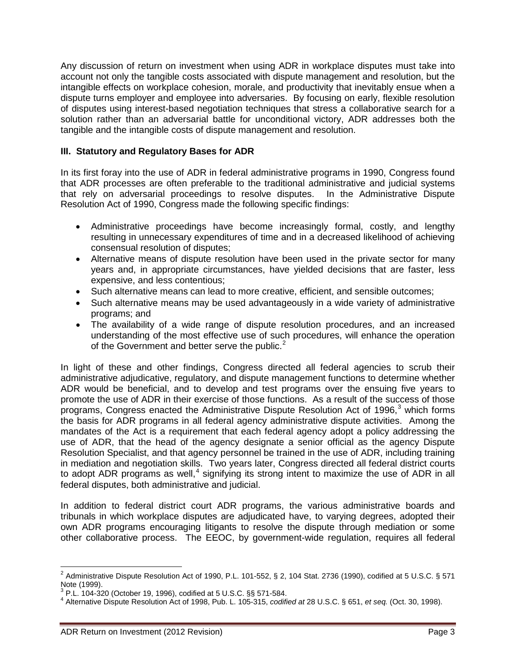Any discussion of return on investment when using ADR in workplace disputes must take into account not only the tangible costs associated with dispute management and resolution, but the intangible effects on workplace cohesion, morale, and productivity that inevitably ensue when a dispute turns employer and employee into adversaries. By focusing on early, flexible resolution of disputes using interest-based negotiation techniques that stress a collaborative search for a solution rather than an adversarial battle for unconditional victory, ADR addresses both the tangible and the intangible costs of dispute management and resolution.

### **III. Statutory and Regulatory Bases for ADR**

In its first foray into the use of ADR in federal administrative programs in 1990, Congress found that ADR processes are often preferable to the traditional administrative and judicial systems that rely on adversarial proceedings to resolve disputes. In the Administrative Dispute Resolution Act of 1990, Congress made the following specific findings:

- Administrative proceedings have become increasingly formal, costly, and lengthy resulting in unnecessary expenditures of time and in a decreased likelihood of achieving consensual resolution of disputes;
- Alternative means of dispute resolution have been used in the private sector for many years and, in appropriate circumstances, have yielded decisions that are faster, less expensive, and less contentious;
- Such alternative means can lead to more creative, efficient, and sensible outcomes;
- Such alternative means may be used advantageously in a wide variety of administrative programs; and
- The availability of a wide range of dispute resolution procedures, and an increased understanding of the most effective use of such procedures, will enhance the operation of the Government and better serve the public.<sup>[2](#page-2-0)</sup>

In light of these and other findings, Congress directed all federal agencies to scrub their administrative adjudicative, regulatory, and dispute management functions to determine whether ADR would be beneficial, and to develop and test programs over the ensuing five years to promote the use of ADR in their exercise of those functions. As a result of the success of those programs, Congress enacted the Administrative Dispute Resolution Act of 1996, $3$  which forms the basis for ADR programs in all federal agency administrative dispute activities. Among the mandates of the Act is a requirement that each federal agency adopt a policy addressing the use of ADR, that the head of the agency designate a senior official as the agency Dispute Resolution Specialist, and that agency personnel be trained in the use of ADR, including training in mediation and negotiation skills. Two years later, Congress directed all federal district courts to adopt ADR programs as well, $<sup>4</sup>$  $<sup>4</sup>$  $<sup>4</sup>$  signifying its strong intent to maximize the use of ADR in all</sup> federal disputes, both administrative and judicial.

In addition to federal district court ADR programs, the various administrative boards and tribunals in which workplace disputes are adjudicated have, to varying degrees, adopted their own ADR programs encouraging litigants to resolve the dispute through mediation or some other collaborative process. The EEOC, by government-wide regulation, requires all federal

<span id="page-2-0"></span> $2$  Administrative Dispute Resolution Act of 1990, P.L. 101-552, § 2, 104 Stat. 2736 (1990), codified at 5 U.S.C. § 571 Note (1999).<br><sup>3</sup> P.L. 104-320 (October 19, 1996), codified at 5 U.S.C. §§ 571-584.

<span id="page-2-1"></span>

<span id="page-2-2"></span><sup>&</sup>lt;sup>4</sup> Alternative Dispute Resolution Act of 1998, Pub. L. 105-315, *codified at* 28 U.S.C. § 651, *et seq.* (Oct. 30, 1998).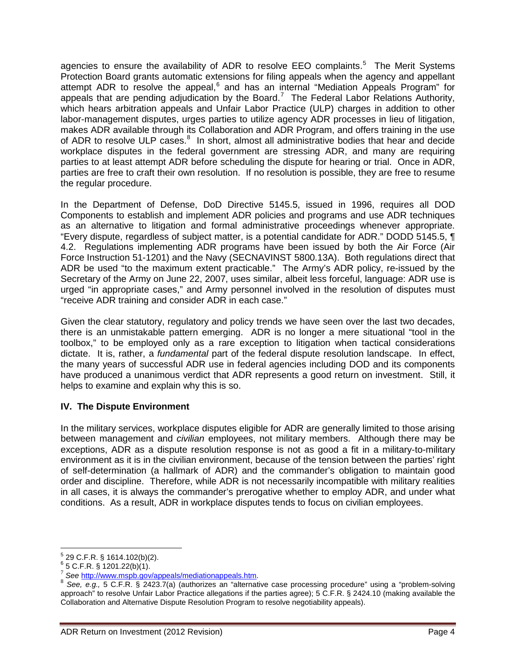agencies to ensure the availability of ADR to resolve EEO complaints.<sup>[5](#page-3-0)</sup> The Merit Systems Protection Board grants automatic extensions for filing appeals when the agency and appellant attempt ADR to resolve the appeal,<sup>[6](#page-3-1)</sup> and has an internal "Mediation Appeals Program" for attempt ABR to receive the appeal, and the source of the Federal Labor Relations Authority, which hears arbitration appeals and Unfair Labor Practice (ULP) charges in addition to other labor-management disputes, urges parties to utilize agency ADR processes in lieu of litigation, makes ADR available through its Collaboration and ADR Program, and offers training in the use of ADR to resolve ULP cases.<sup>[8](#page-3-3)</sup> In short, almost all administrative bodies that hear and decide workplace disputes in the federal government are stressing ADR, and many are requiring parties to at least attempt ADR before scheduling the dispute for hearing or trial. Once in ADR, parties are free to craft their own resolution. If no resolution is possible, they are free to resume the regular procedure.

In the Department of Defense, DoD Directive 5145.5, issued in 1996, requires all DOD Components to establish and implement ADR policies and programs and use ADR techniques as an alternative to litigation and formal administrative proceedings whenever appropriate. "Every dispute, regardless of subject matter, is a potential candidate for ADR." DODD 5145.5, ¶ 4.2. Regulations implementing ADR programs have been issued by both the Air Force (Air Force Instruction 51-1201) and the Navy (SECNAVINST 5800.13A). Both regulations direct that ADR be used "to the maximum extent practicable." The Army's ADR policy, re-issued by the Secretary of the Army on June 22, 2007, uses similar, albeit less forceful, language: ADR use is urged "in appropriate cases," and Army personnel involved in the resolution of disputes must "receive ADR training and consider ADR in each case."

Given the clear statutory, regulatory and policy trends we have seen over the last two decades, there is an unmistakable pattern emerging. ADR is no longer a mere situational "tool in the toolbox," to be employed only as a rare exception to litigation when tactical considerations dictate. It is, rather, a *fundamental* part of the federal dispute resolution landscape. In effect, the many years of successful ADR use in federal agencies including DOD and its components have produced a unanimous verdict that ADR represents a good return on investment. Still, it helps to examine and explain why this is so.

## **IV. The Dispute Environment**

In the military services, workplace disputes eligible for ADR are generally limited to those arising between management and *civilian* employees, not military members. Although there may be exceptions, ADR as a dispute resolution response is not as good a fit in a military-to-military environment as it is in the civilian environment, because of the tension between the parties' right of self-determination (a hallmark of ADR) and the commander's obligation to maintain good order and discipline. Therefore, while ADR is not necessarily incompatible with military realities in all cases, it is always the commander's prerogative whether to employ ADR, and under what conditions. As a result, ADR in workplace disputes tends to focus on civilian employees.

<span id="page-3-1"></span>

<span id="page-3-0"></span><sup>&</sup>lt;sup>5</sup> 29 C.F.R. § 1614.102(b)(2).<br><sup>6</sup> 5 C.F.R. § 1201.22(b)(1).<br><sup>7</sup> See http://ww<u>w.mspb.gov/appeals/mediationappeals.htm</u>.

<span id="page-3-3"></span><span id="page-3-2"></span><sup>&</sup>lt;sup>8</sup> See, e.g., 5 C.F.R. § 2423.7(a) (authorizes an "alternative case processing procedure" using a "problem-solving approach" to resolve Unfair Labor Practice allegations if the parties agree); 5 C.F.R. § 2424.10 (making available the Collaboration and Alternative Dispute Resolution Program to resolve negotiability appeals).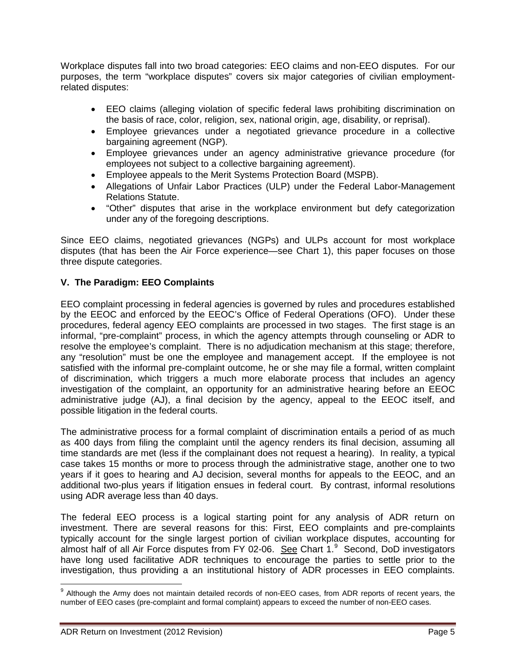Workplace disputes fall into two broad categories: EEO claims and non-EEO disputes. For our purposes, the term "workplace disputes" covers six major categories of civilian employmentrelated disputes:

- EEO claims (alleging violation of specific federal laws prohibiting discrimination on the basis of race, color, religion, sex, national origin, age, disability, or reprisal).
- Employee grievances under a negotiated grievance procedure in a collective bargaining agreement (NGP).
- Employee grievances under an agency administrative grievance procedure (for employees not subject to a collective bargaining agreement).
- Employee appeals to the Merit Systems Protection Board (MSPB).
- Allegations of Unfair Labor Practices (ULP) under the Federal Labor-Management Relations Statute.
- "Other" disputes that arise in the workplace environment but defy categorization under any of the foregoing descriptions.

Since EEO claims, negotiated grievances (NGPs) and ULPs account for most workplace disputes (that has been the Air Force experience—see Chart 1), this paper focuses on those three dispute categories.

## **V. The Paradigm: EEO Complaints**

EEO complaint processing in federal agencies is governed by rules and procedures established by the EEOC and enforced by the EEOC's Office of Federal Operations (OFO). Under these procedures, federal agency EEO complaints are processed in two stages. The first stage is an informal, "pre-complaint" process, in which the agency attempts through counseling or ADR to resolve the employee's complaint. There is no adjudication mechanism at this stage; therefore, any "resolution" must be one the employee and management accept. If the employee is not satisfied with the informal pre-complaint outcome, he or she may file a formal, written complaint of discrimination, which triggers a much more elaborate process that includes an agency investigation of the complaint, an opportunity for an administrative hearing before an EEOC administrative judge (AJ), a final decision by the agency, appeal to the EEOC itself, and possible litigation in the federal courts.

The administrative process for a formal complaint of discrimination entails a period of as much as 400 days from filing the complaint until the agency renders its final decision, assuming all time standards are met (less if the complainant does not request a hearing). In reality, a typical case takes 15 months or more to process through the administrative stage, another one to two years if it goes to hearing and AJ decision, several months for appeals to the EEOC, and an additional two-plus years if litigation ensues in federal court. By contrast, informal resolutions using ADR average less than 40 days.

The federal EEO process is a logical starting point for any analysis of ADR return on investment. There are several reasons for this: First, EEO complaints and pre-complaints typically account for the single largest portion of civilian workplace disputes, accounting for almost half of all Air Force disputes from FY 02-06. See Chart 1.<sup>[9](#page-4-0)</sup> Second, DoD investigators have long used facilitative ADR techniques to encourage the parties to settle prior to the investigation, thus providing a an institutional history of ADR processes in EEO complaints.

<span id="page-4-0"></span><sup>&</sup>lt;sup>9</sup> Although the Army does not maintain detailed records of non-EEO cases, from ADR reports of recent years, the number of EEO cases (pre-complaint and formal complaint) appears to exceed the number of non-EEO cases.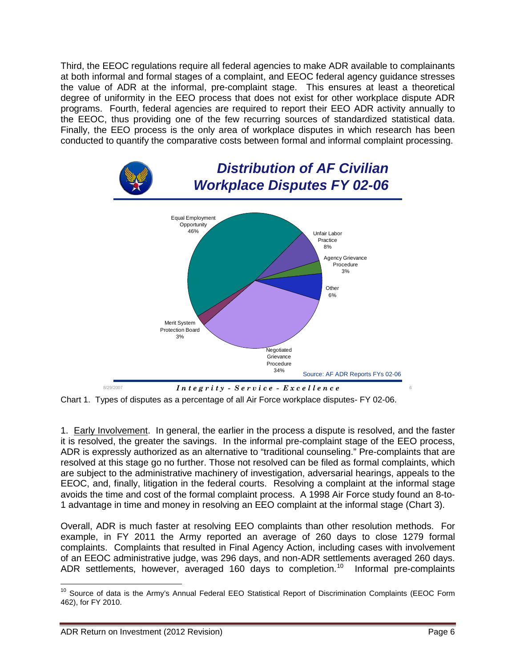Third, the EEOC regulations require all federal agencies to make ADR available to complainants at both informal and formal stages of a complaint, and EEOC federal agency guidance stresses the value of ADR at the informal, pre-complaint stage. This ensures at least a theoretical degree of uniformity in the EEO process that does not exist for other workplace dispute ADR programs. Fourth, federal agencies are required to report their EEO ADR activity annually to the EEOC, thus providing one of the few recurring sources of standardized statistical data. Finally, the EEO process is the only area of workplace disputes in which research has been conducted to quantify the comparative costs between formal and informal complaint processing.



Chart 1. Types of disputes as a percentage of all Air Force workplace disputes- FY 02-06.

1. Early Involvement. In general, the earlier in the process a dispute is resolved, and the faster it is resolved, the greater the savings. In the informal pre-complaint stage of the EEO process, ADR is expressly authorized as an alternative to "traditional counseling." Pre-complaints that are resolved at this stage go no further. Those not resolved can be filed as formal complaints, which are subject to the administrative machinery of investigation, adversarial hearings, appeals to the EEOC, and, finally, litigation in the federal courts. Resolving a complaint at the informal stage avoids the time and cost of the formal complaint process. A 1998 Air Force study found an 8-to-1 advantage in time and money in resolving an EEO complaint at the informal stage (Chart 3).

Overall, ADR is much faster at resolving EEO complaints than other resolution methods. For example, in FY 2011 the Army reported an average of 260 days to close 1279 formal complaints. Complaints that resulted in Final Agency Action, including cases with involvement of an EEOC administrative judge, was 296 days, and non-ADR settlements averaged 260 days. ADR settlements, however, averaged 160 days to completion.<sup>[10](#page-5-0)</sup> Informal pre-complaints

<span id="page-5-0"></span><sup>&</sup>lt;sup>10</sup> Source of data is the Army's Annual Federal EEO Statistical Report of Discrimination Complaints (EEOC Form 462), for FY 2010.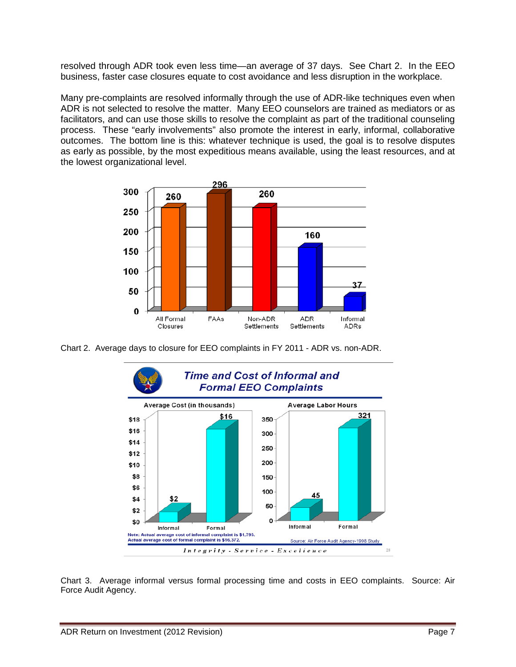resolved through ADR took even less time—an average of 37 days. See Chart 2. In the EEO business, faster case closures equate to cost avoidance and less disruption in the workplace.

Many pre-complaints are resolved informally through the use of ADR-like techniques even when ADR is not selected to resolve the matter. Many EEO counselors are trained as mediators or as facilitators, and can use those skills to resolve the complaint as part of the traditional counseling process. These "early involvements" also promote the interest in early, informal, collaborative outcomes. The bottom line is this: whatever technique is used, the goal is to resolve disputes as early as possible, by the most expeditious means available, using the least resources, and at the lowest organizational level.



Chart 2. Average days to closure for EEO complaints in FY 2011 - ADR vs. non-ADR.



Chart 3. Average informal versus formal processing time and costs in EEO complaints. Source: Air Force Audit Agency.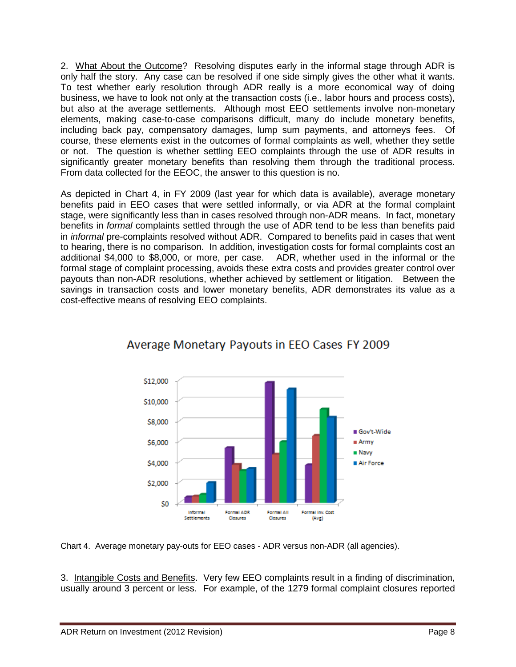2. What About the Outcome? Resolving disputes early in the informal stage through ADR is only half the story. Any case can be resolved if one side simply gives the other what it wants. To test whether early resolution through ADR really is a more economical way of doing business, we have to look not only at the transaction costs (i.e., labor hours and process costs), but also at the average settlements. Although most EEO settlements involve non-monetary elements, making case-to-case comparisons difficult, many do include monetary benefits, including back pay, compensatory damages, lump sum payments, and attorneys fees. Of course, these elements exist in the outcomes of formal complaints as well, whether they settle or not. The question is whether settling EEO complaints through the use of ADR results in significantly greater monetary benefits than resolving them through the traditional process. From data collected for the EEOC, the answer to this question is no.

As depicted in Chart 4, in FY 2009 (last year for which data is available), average monetary benefits paid in EEO cases that were settled informally, or via ADR at the formal complaint stage, were significantly less than in cases resolved through non-ADR means. In fact, monetary benefits in *formal* complaints settled through the use of ADR tend to be less than benefits paid in *informal* pre-complaints resolved without ADR. Compared to benefits paid in cases that went to hearing, there is no comparison. In addition, investigation costs for formal complaints cost an additional \$4,000 to \$8,000, or more, per case. ADR, whether used in the informal or the formal stage of complaint processing, avoids these extra costs and provides greater control over payouts than non-ADR resolutions, whether achieved by settlement or litigation. Between the savings in transaction costs and lower monetary benefits, ADR demonstrates its value as a cost-effective means of resolving EEO complaints.



# Average Monetary Payouts in EEO Cases FY 2009

Chart 4. Average monetary pay-outs for EEO cases - ADR versus non-ADR (all agencies).

3. Intangible Costs and Benefits. Very few EEO complaints result in a finding of discrimination, usually around 3 percent or less. For example, of the 1279 formal complaint closures reported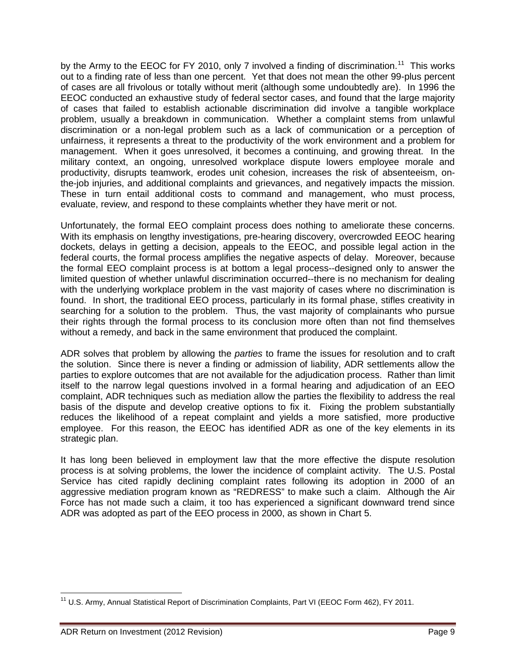by the Army to the EEOC for FY 2010, only 7 involved a finding of discrimination.<sup>11</sup> This works out to a finding rate of less than one percent. Yet that does not mean the other 99-plus percent of cases are all frivolous or totally without merit (although some undoubtedly are). In 1996 the EEOC conducted an exhaustive study of federal sector cases, and found that the large majority of cases that failed to establish actionable discrimination did involve a tangible workplace problem, usually a breakdown in communication. Whether a complaint stems from unlawful discrimination or a non-legal problem such as a lack of communication or a perception of unfairness, it represents a threat to the productivity of the work environment and a problem for management. When it goes unresolved, it becomes a continuing, and growing threat. In the military context, an ongoing, unresolved workplace dispute lowers employee morale and productivity, disrupts teamwork, erodes unit cohesion, increases the risk of absenteeism, onthe-job injuries, and additional complaints and grievances, and negatively impacts the mission. These in turn entail additional costs to command and management, who must process, evaluate, review, and respond to these complaints whether they have merit or not.

Unfortunately, the formal EEO complaint process does nothing to ameliorate these concerns. With its emphasis on lengthy investigations, pre-hearing discovery, overcrowded EEOC hearing dockets, delays in getting a decision, appeals to the EEOC, and possible legal action in the federal courts, the formal process amplifies the negative aspects of delay. Moreover, because the formal EEO complaint process is at bottom a legal process--designed only to answer the limited question of whether unlawful discrimination occurred--there is no mechanism for dealing with the underlying workplace problem in the vast majority of cases where no discrimination is found. In short, the traditional EEO process, particularly in its formal phase, stifles creativity in searching for a solution to the problem. Thus, the vast majority of complainants who pursue their rights through the formal process to its conclusion more often than not find themselves without a remedy, and back in the same environment that produced the complaint.

ADR solves that problem by allowing the *parties* to frame the issues for resolution and to craft the solution. Since there is never a finding or admission of liability, ADR settlements allow the parties to explore outcomes that are not available for the adjudication process. Rather than limit itself to the narrow legal questions involved in a formal hearing and adjudication of an EEO complaint, ADR techniques such as mediation allow the parties the flexibility to address the real basis of the dispute and develop creative options to fix it. Fixing the problem substantially reduces the likelihood of a repeat complaint and yields a more satisfied, more productive employee. For this reason, the EEOC has identified ADR as one of the key elements in its strategic plan.

It has long been believed in employment law that the more effective the dispute resolution process is at solving problems, the lower the incidence of complaint activity. The U.S. Postal Service has cited rapidly declining complaint rates following its adoption in 2000 of an aggressive mediation program known as "REDRESS" to make such a claim. Although the Air Force has not made such a claim, it too has experienced a significant downward trend since ADR was adopted as part of the EEO process in 2000, as shown in Chart 5.

<span id="page-8-0"></span><sup>&</sup>lt;sup>11</sup> U.S. Army, Annual Statistical Report of Discrimination Complaints, Part VI (EEOC Form 462), FY 2011.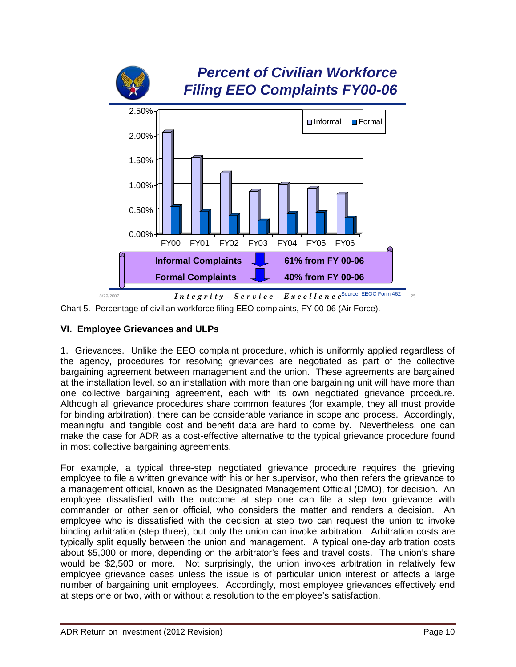



## **VI. Employee Grievances and ULPs**

1. Grievances. Unlike the EEO complaint procedure, which is uniformly applied regardless of the agency, procedures for resolving grievances are negotiated as part of the collective bargaining agreement between management and the union. These agreements are bargained at the installation level, so an installation with more than one bargaining unit will have more than one collective bargaining agreement, each with its own negotiated grievance procedure. Although all grievance procedures share common features (for example, they all must provide for binding arbitration), there can be considerable variance in scope and process. Accordingly, meaningful and tangible cost and benefit data are hard to come by. Nevertheless, one can make the case for ADR as a cost-effective alternative to the typical grievance procedure found in most collective bargaining agreements.

For example, a typical three-step negotiated grievance procedure requires the grieving employee to file a written grievance with his or her supervisor, who then refers the grievance to a management official, known as the Designated Management Official (DMO), for decision. An employee dissatisfied with the outcome at step one can file a step two grievance with commander or other senior official, who considers the matter and renders a decision. An employee who is dissatisfied with the decision at step two can request the union to invoke binding arbitration (step three), but only the union can invoke arbitration. Arbitration costs are typically split equally between the union and management. A typical one-day arbitration costs about \$5,000 or more, depending on the arbitrator's fees and travel costs. The union's share would be \$2,500 or more. Not surprisingly, the union invokes arbitration in relatively few employee grievance cases unless the issue is of particular union interest or affects a large number of bargaining unit employees. Accordingly, most employee grievances effectively end at steps one or two, with or without a resolution to the employee's satisfaction.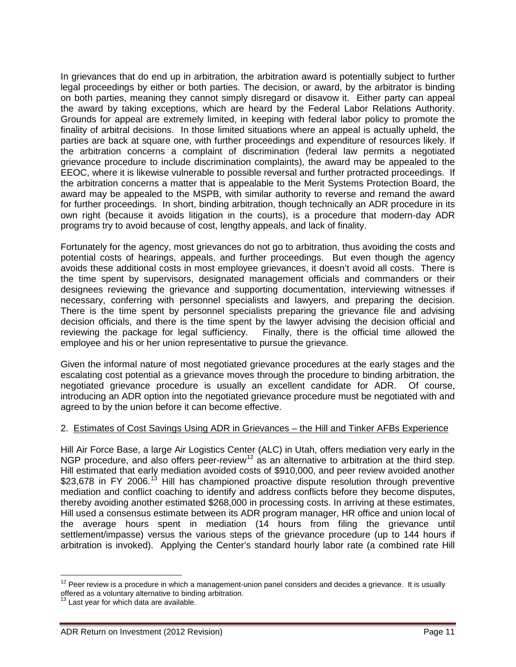In grievances that do end up in arbitration, the arbitration award is potentially subject to further legal proceedings by either or both parties. The decision, or award, by the arbitrator is binding on both parties, meaning they cannot simply disregard or disavow it. Either party can appeal the award by taking exceptions, which are heard by the Federal Labor Relations Authority. Grounds for appeal are extremely limited, in keeping with federal labor policy to promote the finality of arbitral decisions. In those limited situations where an appeal is actually upheld, the parties are back at square one, with further proceedings and expenditure of resources likely. If the arbitration concerns a complaint of discrimination (federal law permits a negotiated grievance procedure to include discrimination complaints), the award may be appealed to the EEOC, where it is likewise vulnerable to possible reversal and further protracted proceedings. If the arbitration concerns a matter that is appealable to the Merit Systems Protection Board, the award may be appealed to the MSPB, with similar authority to reverse and remand the award for further proceedings. In short, binding arbitration, though technically an ADR procedure in its own right (because it avoids litigation in the courts), is a procedure that modern-day ADR programs try to avoid because of cost, lengthy appeals, and lack of finality.

Fortunately for the agency, most grievances do not go to arbitration, thus avoiding the costs and potential costs of hearings, appeals, and further proceedings. But even though the agency avoids these additional costs in most employee grievances, it doesn't avoid all costs. There is the time spent by supervisors, designated management officials and commanders or their designees reviewing the grievance and supporting documentation, interviewing witnesses if necessary, conferring with personnel specialists and lawyers, and preparing the decision. There is the time spent by personnel specialists preparing the grievance file and advising decision officials, and there is the time spent by the lawyer advising the decision official and reviewing the package for legal sufficiency. Finally, there is the official time allowed the employee and his or her union representative to pursue the grievance.

Given the informal nature of most negotiated grievance procedures at the early stages and the escalating cost potential as a grievance moves through the procedure to binding arbitration, the negotiated grievance procedure is usually an excellent candidate for ADR. Of course, introducing an ADR option into the negotiated grievance procedure must be negotiated with and agreed to by the union before it can become effective.

## 2. Estimates of Cost Savings Using ADR in Grievances – the Hill and Tinker AFBs Experience

Hill Air Force Base, a large Air Logistics Center (ALC) in Utah, offers mediation very early in the NGP procedure, and also offers peer-review<sup>[12](#page-10-0)</sup> as an alternative to arbitration at the third step. Hill estimated that early mediation avoided costs of \$910,000, and peer review avoided another \$23,678 in FY 2006.<sup>[13](#page-10-1)</sup> Hill has championed proactive dispute resolution through preventive mediation and conflict coaching to identify and address conflicts before they become disputes, thereby avoiding another estimated \$268,000 in processing costs. In arriving at these estimates, Hill used a consensus estimate between its ADR program manager, HR office and union local of the average hours spent in mediation (14 hours from filing the grievance until settlement/impasse) versus the various steps of the grievance procedure (up to 144 hours if arbitration is invoked). Applying the Center's standard hourly labor rate (a combined rate Hill

<span id="page-10-0"></span> $12$  Peer review is a procedure in which a management-union panel considers and decides a grievance. It is usually offered as a voluntary alternative to binding arbitration.

<span id="page-10-1"></span>Last year for which data are available.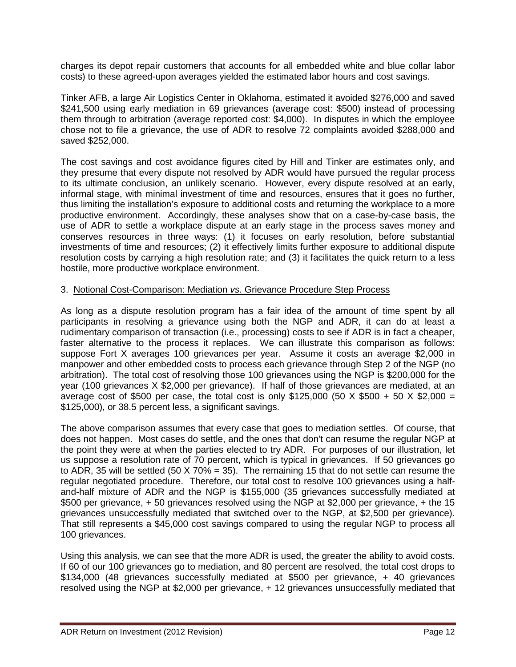charges its depot repair customers that accounts for all embedded white and blue collar labor costs) to these agreed-upon averages yielded the estimated labor hours and cost savings.

Tinker AFB, a large Air Logistics Center in Oklahoma, estimated it avoided \$276,000 and saved \$241,500 using early mediation in 69 grievances (average cost: \$500) instead of processing them through to arbitration (average reported cost: \$4,000). In disputes in which the employee chose not to file a grievance, the use of ADR to resolve 72 complaints avoided \$288,000 and saved \$252,000.

The cost savings and cost avoidance figures cited by Hill and Tinker are estimates only, and they presume that every dispute not resolved by ADR would have pursued the regular process to its ultimate conclusion, an unlikely scenario. However, every dispute resolved at an early, informal stage, with minimal investment of time and resources, ensures that it goes no further, thus limiting the installation's exposure to additional costs and returning the workplace to a more productive environment. Accordingly, these analyses show that on a case-by-case basis, the use of ADR to settle a workplace dispute at an early stage in the process saves money and conserves resources in three ways: (1) it focuses on early resolution, before substantial investments of time and resources; (2) it effectively limits further exposure to additional dispute resolution costs by carrying a high resolution rate; and (3) it facilitates the quick return to a less hostile, more productive workplace environment.

### 3. Notional Cost-Comparison: Mediation *vs.* Grievance Procedure Step Process

As long as a dispute resolution program has a fair idea of the amount of time spent by all participants in resolving a grievance using both the NGP and ADR, it can do at least a rudimentary comparison of transaction (i.e., processing) costs to see if ADR is in fact a cheaper, faster alternative to the process it replaces. We can illustrate this comparison as follows: suppose Fort X averages 100 grievances per year. Assume it costs an average \$2,000 in manpower and other embedded costs to process each grievance through Step 2 of the NGP (no arbitration). The total cost of resolving those 100 grievances using the NGP is \$200,000 for the year (100 grievances X \$2,000 per grievance). If half of those grievances are mediated, at an average cost of \$500 per case, the total cost is only \$125,000 (50 X \$500 + 50 X \$2,000 = \$125,000), or 38.5 percent less, a significant savings.

The above comparison assumes that every case that goes to mediation settles. Of course, that does not happen. Most cases do settle, and the ones that don't can resume the regular NGP at the point they were at when the parties elected to try ADR. For purposes of our illustration, let us suppose a resolution rate of 70 percent, which is typical in grievances. If 50 grievances go to ADR, 35 will be settled (50 X 70% = 35). The remaining 15 that do not settle can resume the regular negotiated procedure. Therefore, our total cost to resolve 100 grievances using a halfand-half mixture of ADR and the NGP is \$155,000 (35 grievances successfully mediated at \$500 per grievance, + 50 grievances resolved using the NGP at \$2,000 per grievance, + the 15 grievances unsuccessfully mediated that switched over to the NGP, at \$2,500 per grievance). That still represents a \$45,000 cost savings compared to using the regular NGP to process all 100 grievances.

Using this analysis, we can see that the more ADR is used, the greater the ability to avoid costs. If 60 of our 100 grievances go to mediation, and 80 percent are resolved, the total cost drops to \$134,000 (48 grievances successfully mediated at \$500 per grievance, + 40 grievances resolved using the NGP at \$2,000 per grievance, + 12 grievances unsuccessfully mediated that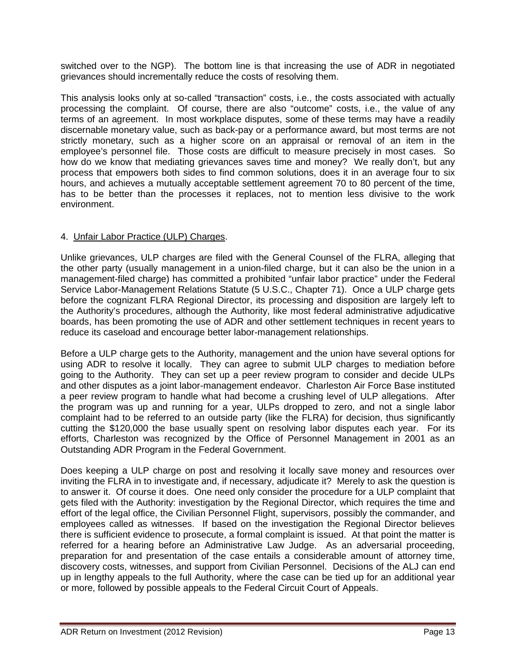switched over to the NGP). The bottom line is that increasing the use of ADR in negotiated grievances should incrementally reduce the costs of resolving them.

This analysis looks only at so-called "transaction" costs, i.e., the costs associated with actually processing the complaint. Of course, there are also "outcome" costs, i.e., the value of any terms of an agreement. In most workplace disputes, some of these terms may have a readily discernable monetary value, such as back-pay or a performance award, but most terms are not strictly monetary, such as a higher score on an appraisal or removal of an item in the employee's personnel file. Those costs are difficult to measure precisely in most cases. So how do we know that mediating grievances saves time and money? We really don't, but any process that empowers both sides to find common solutions, does it in an average four to six hours, and achieves a mutually acceptable settlement agreement 70 to 80 percent of the time, has to be better than the processes it replaces, not to mention less divisive to the work environment.

### 4. Unfair Labor Practice (ULP) Charges.

Unlike grievances, ULP charges are filed with the General Counsel of the FLRA, alleging that the other party (usually management in a union-filed charge, but it can also be the union in a management-filed charge) has committed a prohibited "unfair labor practice" under the Federal Service Labor-Management Relations Statute (5 U.S.C., Chapter 71). Once a ULP charge gets before the cognizant FLRA Regional Director, its processing and disposition are largely left to the Authority's procedures, although the Authority, like most federal administrative adjudicative boards, has been promoting the use of ADR and other settlement techniques in recent years to reduce its caseload and encourage better labor-management relationships.

Before a ULP charge gets to the Authority, management and the union have several options for using ADR to resolve it locally. They can agree to submit ULP charges to mediation before going to the Authority. They can set up a peer review program to consider and decide ULPs and other disputes as a joint labor-management endeavor. Charleston Air Force Base instituted a peer review program to handle what had become a crushing level of ULP allegations. After the program was up and running for a year, ULPs dropped to zero, and not a single labor complaint had to be referred to an outside party (like the FLRA) for decision, thus significantly cutting the \$120,000 the base usually spent on resolving labor disputes each year. For its efforts, Charleston was recognized by the Office of Personnel Management in 2001 as an Outstanding ADR Program in the Federal Government.

Does keeping a ULP charge on post and resolving it locally save money and resources over inviting the FLRA in to investigate and, if necessary, adjudicate it? Merely to ask the question is to answer it. Of course it does. One need only consider the procedure for a ULP complaint that gets filed with the Authority: investigation by the Regional Director, which requires the time and effort of the legal office, the Civilian Personnel Flight, supervisors, possibly the commander, and employees called as witnesses. If based on the investigation the Regional Director believes there is sufficient evidence to prosecute, a formal complaint is issued. At that point the matter is referred for a hearing before an Administrative Law Judge. As an adversarial proceeding, preparation for and presentation of the case entails a considerable amount of attorney time, discovery costs, witnesses, and support from Civilian Personnel. Decisions of the ALJ can end up in lengthy appeals to the full Authority, where the case can be tied up for an additional year or more, followed by possible appeals to the Federal Circuit Court of Appeals.